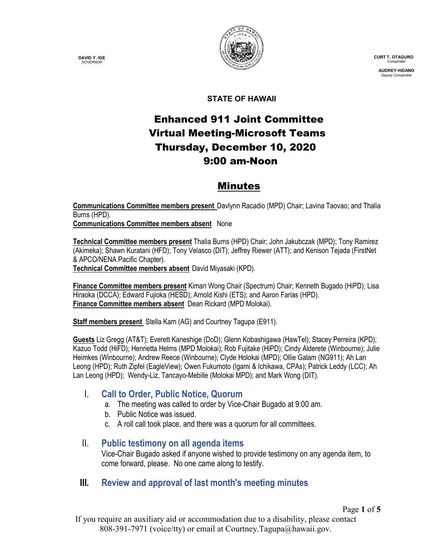**DAVID Y. IGE GOVERNOR** 



 **CURT T. OTAGURO** Comptrol

 **AUDREY HIDANO** Deputy Comptro

Page **1** of **5**

#### **STATE OF HAWAII**

# Enhanced 911 Joint Committee Virtual Meeting-Microsoft Teams Thursday, December 10, 2020 9:00 am-Noon

# Minutes

**Communications Committee members present** Davlynn Racadio (MPD) Chair; Lavina Taovao; and Thalia Burns (HPD).

**Communications Committee members absent** None

**Technical Committee members present** Thalia Burns (HPD) Chair; John Jakubczak (MPD); Tony Ramirez (Akimeka); Shawn Kuratani (HFD); Tony Velasco (DIT); Jeffrey Riewer (ATT); and Kenison Tejada (FirstNet & APCO/NENA Pacific Chapter).

**Technical Committee members absent** David Miyasaki (KPD).

**Finance Committee members present** Kiman Wong Chair (Spectrum) Chair; Kenneth Bugado (HiPD); Lisa Hiraoka (DCCA); Edward Fujioka (HESD); Arnold Kishi (ETS); and Aaron Farias (HPD). **Finance Committee members absent** Dean Rickard (MPD Molokai).

**Staff members present** Stella Kam (AG) and Courtney Tagupa (E911).

**Guests** Liz Gregg (AT&T); Everett Kaneshige (DoD); Glenn Kobashigawa (HawTel); Stacey Perreira (KPD); Kazuo Todd (HiFD); Henrietta Helms (MPD Molokai); Rob Fujitake (HiPD); Cindy Alderete (Winbourne); Julie Heimkes (Winbourne); Andrew Reece (Winbourne); Clyde Holokai (MPD); Ollie Galam (NG911); Ah Lan Leong (HPD); Ruth Zipfel (EagleView); Owen Fukumoto (Igami & Ichikawa, CPAs); Patrick Leddy (LCC); Ah Lan Leong (HPD); Wendy-Liz, Tancayo-Mebille (Molokai MPD); and Mark Wong (DIT).

## I. **Call to Order, Public Notice, Quorum**

- a. The meeting was called to order by Vice-Chair Bugado at 9:00 am.
- b. Public Notice was issued.
- c. A roll call took place, and there was a quorum for all committees.

#### II. **Public testimony on all agenda items**

Vice-Chair Bugado asked if anyone wished to provide testimony on any agenda item, to come forward, please. No one came along to testify.

## **III. Review and approval of last month's meeting minutes**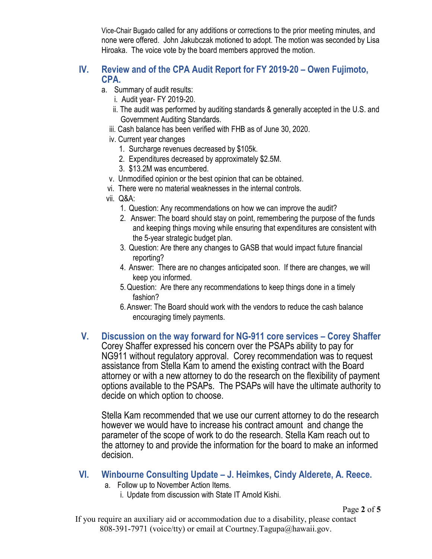Vice-Chair Bugado called for any additions or corrections to the prior meeting minutes, and none were offered. John Jakubczak motioned to adopt. The motion was seconded by Lisa Hiroaka. The voice vote by the board members approved the motion.

### **IV. Review and of the CPA Audit Report for FY 2019-20 – Owen Fujimoto, CPA.**

- a. Summary of audit results:
	- i. Audit year- FY 2019-20.
	- ii. The audit was performed by auditing standards & generally accepted in the U.S. and Government Auditing Standards.
	- iii. Cash balance has been verified with FHB as of June 30, 2020.
	- iv. Current year changes
		- 1. Surcharge revenues decreased by \$105k.
		- 2. Expenditures decreased by approximately \$2.5M.
		- 3. \$13.2M was encumbered.
	- v. Unmodified opinion or the best opinion that can be obtained.
	- vi. There were no material weaknesses in the internal controls.
	- vii. Q&A:
		- 1. Question: Any recommendations on how we can improve the audit?
		- 2. Answer: The board should stay on point, remembering the purpose of the funds and keeping things moving while ensuring that expenditures are consistent with the 5-year strategic budget plan.
		- 3. Question: Are there any changes to GASB that would impact future financial reporting?
		- 4. Answer: There are no changes anticipated soon. If there are changes, we will keep you informed.
		- 5.Question: Are there any recommendations to keep things done in a timely fashion?
		- 6.Answer: The Board should work with the vendors to reduce the cash balance encouraging timely payments.
- **V. Discussion on the way forward for NG-911 core services – Corey Shaffer** Corey Shaffer expressed his concern over the PSAPs ability to pay for NG911 without regulatory approval. Corey recommendation was to request assistance from Stella Kam to amend the existing contract with the Board attorney or with a new attorney to do the research on the flexibility of payment options available to the PSAPs. The PSAPs will have the ultimate authority to decide on which option to choose.

Stella Kam recommended that we use our current attorney to do the research however we would have to increase his contract amount and change the parameter of the scope of work to do the research. Stella Kam reach out to the attorney to and provide the information for the board to make an informed decision.

- **VI. Winbourne Consulting Update – J. Heimkes, Cindy Alderete, A. Reece.**
	- a. Follow up to November Action Items.
		- i. Update from discussion with State IT Arnold Kishi.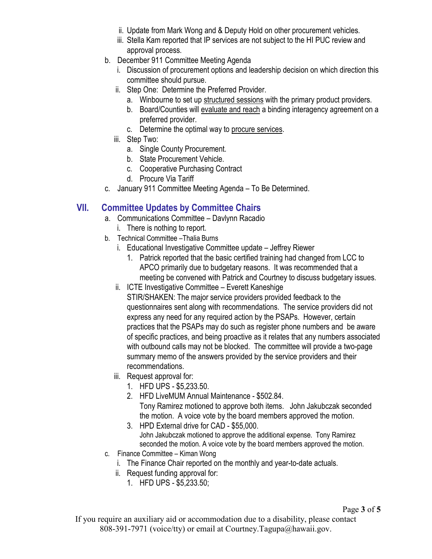- ii. Update from Mark Wong and & Deputy Hold on other procurement vehicles.
- iii. Stella Kam reported that IP services are not subject to the HI PUC review and approval process.
- b. December 911 Committee Meeting Agenda
	- i. Discussion of procurement options and leadership decision on which direction this committee should pursue.
	- ii. Step One: Determine the Preferred Provider.
		- a. Winbourne to set up structured sessions with the primary product providers.
		- b. Board/Counties will evaluate and reach a binding interagency agreement on a preferred provider.
		- c. Determine the optimal way to procure services.
	- iii. Step Two:
		- a. Single County Procurement.
		- b. State Procurement Vehicle.
		- c. Cooperative Purchasing Contract
		- d. Procure Via Tariff
- c. January 911 Committee Meeting Agenda To Be Determined.

## **VII. Committee Updates by Committee Chairs**

- a. Communications Committee Davlynn Racadio
	- i. There is nothing to report.
- b. Technical Committee –Thalia Burns
	- i. Educational Investigative Committee update Jeffrey Riewer
		- 1. Patrick reported that the basic certified training had changed from LCC to APCO primarily due to budgetary reasons. It was recommended that a meeting be convened with Patrick and Courtney to discuss budgetary issues.
	- ii. ICTE Investigative Committee Everett Kaneshige STIR/SHAKEN: The major service providers provided feedback to the questionnaires sent along with recommendations. The service providers did not express any need for any required action by the PSAPs. However, certain practices that the PSAPs may do such as register phone numbers and be aware of specific practices, and being proactive as it relates that any numbers associated with outbound calls may not be blocked. The committee will provide a two-page summary memo of the answers provided by the service providers and their recommendations.
	- iii. Request approval for:
		- 1. HFD UPS \$5,233.50.
		- 2. HFD LiveMUM Annual Maintenance \$502.84. Tony Ramirez motioned to approve both items. John Jakubczak seconded the motion. A voice vote by the board members approved the motion.
		- 3. HPD External drive for CAD \$55,000. John Jakubczak motioned to approve the additional expense. Tony Ramirez seconded the motion. A voice vote by the board members approved the motion.
- c. Finance Committee Kiman Wong
	- i. The Finance Chair reported on the monthly and year-to-date actuals.
	- ii. Request funding approval for:
		- 1. HFD UPS \$5,233.50;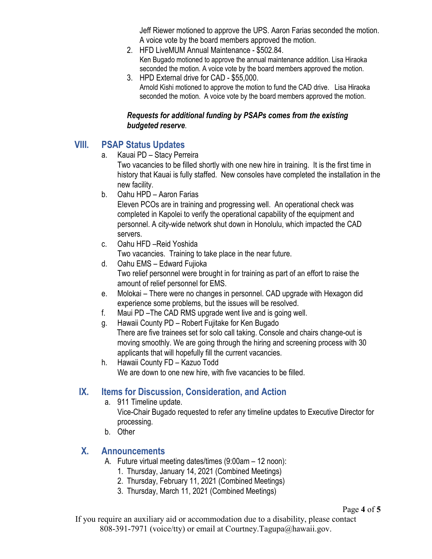Jeff Riewer motioned to approve the UPS. Aaron Farias seconded the motion. A voice vote by the board members approved the motion.

- 2. HFD LiveMUM Annual Maintenance \$502.84. Ken Bugado motioned to approve the annual maintenance addition. Lisa Hiraoka seconded the motion. A voice vote by the board members approved the motion.
- 3. HPD External drive for CAD \$55,000. Arnold Kishi motioned to approve the motion to fund the CAD drive. Lisa Hiraoka seconded the motion. A voice vote by the board members approved the motion.

#### *Requests for additional funding by PSAPs comes from the existing budgeted reserve*.

# **VIII. PSAP Status Updates**

a. Kauai PD – Stacy Perreira

Two vacancies to be filled shortly with one new hire in training. It is the first time in history that Kauai is fully staffed. New consoles have completed the installation in the new facility.

b. Oahu HPD – Aaron Farias

Eleven PCOs are in training and progressing well. An operational check was completed in Kapolei to verify the operational capability of the equipment and personnel. A city-wide network shut down in Honolulu, which impacted the CAD servers.

c. Oahu HFD –Reid Yoshida

Two vacancies. Training to take place in the near future.

- d. Oahu EMS Edward Fujioka Two relief personnel were brought in for training as part of an effort to raise the amount of relief personnel for EMS.
- e. Molokai There were no changes in personnel. CAD upgrade with Hexagon did experience some problems, but the issues will be resolved.
- f. Maui PD –The CAD RMS upgrade went live and is going well.
- g. Hawaii County PD Robert Fujitake for Ken Bugado

 There are five trainees set for solo call taking. Console and chairs change-out is moving smoothly. We are going through the hiring and screening process with 30 applicants that will hopefully fill the current vacancies.

h. Hawaii County FD – Kazuo Todd We are down to one new hire, with five vacancies to be filled.

# **IX. Items for Discussion, Consideration, and Action**

a. 911 Timeline update.

Vice-Chair Bugado requested to refer any timeline updates to Executive Director for processing.

b. Other

# **X. Announcements**

- A. Future virtual meeting dates/times (9:00am 12 noon):
	- 1. Thursday, January 14, 2021 (Combined Meetings)
	- 2. Thursday, February 11, 2021 (Combined Meetings)
	- 3. Thursday, March 11, 2021 (Combined Meetings)